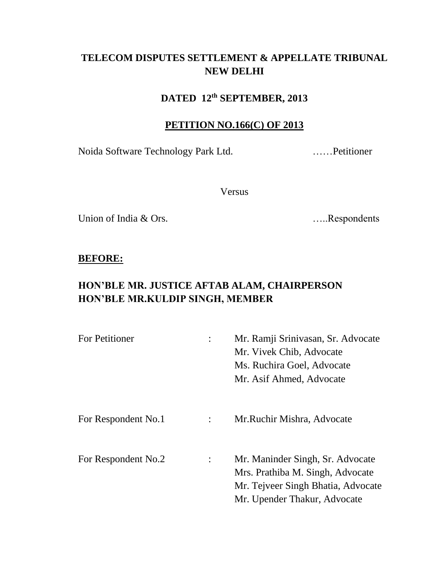# **TELECOM DISPUTES SETTLEMENT & APPELLATE TRIBUNAL NEW DELHI**

### **DATED 12th SEPTEMBER, 2013**

#### **PETITION NO.166(C) OF 2013**

Noida Software Technology Park Ltd. ……Petitioner

Versus

Union of India & Ors. <br>
.....Respondents

### **BEFORE:**

# **HON'BLE MR. JUSTICE AFTAB ALAM, CHAIRPERSON HON'BLE MR.KULDIP SINGH, MEMBER**

| For Petitioner      |                | Mr. Ramji Srinivasan, Sr. Advocate<br>Mr. Vivek Chib, Advocate<br>Ms. Ruchira Goel, Advocate<br>Mr. Asif Ahmed, Advocate                   |
|---------------------|----------------|--------------------------------------------------------------------------------------------------------------------------------------------|
| For Respondent No.1 | $\ddot{\cdot}$ | Mr. Ruchir Mishra, Advocate                                                                                                                |
| For Respondent No.2 |                | Mr. Maninder Singh, Sr. Advocate<br>Mrs. Prathiba M. Singh, Advocate<br>Mr. Tejveer Singh Bhatia, Advocate<br>Mr. Upender Thakur, Advocate |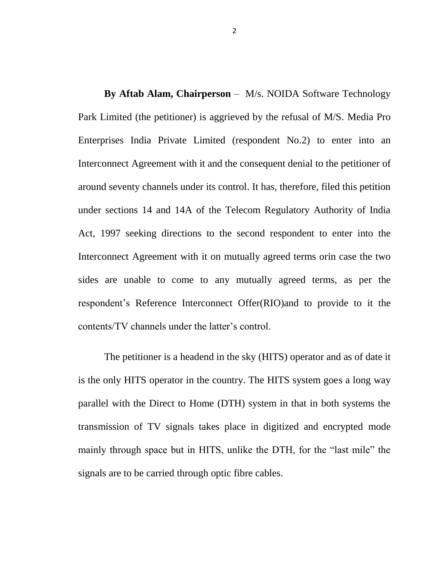**By Aftab Alam, Chairperson** – M/s. NOIDA Software Technology Park Limited (the petitioner) is aggrieved by the refusal of M/S. Media Pro Enterprises India Private Limited (respondent No.2) to enter into an Interconnect Agreement with it and the consequent denial to the petitioner of around seventy channels under its control. It has, therefore, filed this petition under sections 14 and 14A of the Telecom Regulatory Authority of India Act, 1997 seeking directions to the second respondent to enter into the Interconnect Agreement with it on mutually agreed terms orin case the two sides are unable to come to any mutually agreed terms, as per the respondent's Reference Interconnect Offer(RIO)and to provide to it the contents/TV channels under the latter's control.

The petitioner is a headend in the sky (HITS) operator and as of date it is the only HITS operator in the country. The HITS system goes a long way parallel with the Direct to Home (DTH) system in that in both systems the transmission of TV signals takes place in digitized and encrypted mode mainly through space but in HITS, unlike the DTH, for the "last mile" the signals are to be carried through optic fibre cables.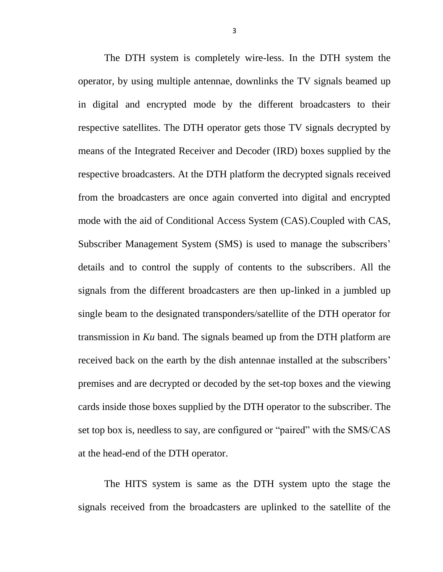The DTH system is completely wire-less. In the DTH system the operator, by using multiple antennae, downlinks the TV signals beamed up in digital and encrypted mode by the different broadcasters to their respective satellites. The DTH operator gets those TV signals decrypted by means of the Integrated Receiver and Decoder (IRD) boxes supplied by the respective broadcasters. At the DTH platform the decrypted signals received from the broadcasters are once again converted into digital and encrypted mode with the aid of Conditional Access System (CAS).Coupled with CAS, Subscriber Management System (SMS) is used to manage the subscribers' details and to control the supply of contents to the subscribers. All the signals from the different broadcasters are then up-linked in a jumbled up single beam to the designated transponders/satellite of the DTH operator for transmission in *Ku* band. The signals beamed up from the DTH platform are received back on the earth by the dish antennae installed at the subscribers' premises and are decrypted or decoded by the set-top boxes and the viewing cards inside those boxes supplied by the DTH operator to the subscriber. The set top box is, needless to say, are configured or "paired" with the SMS/CAS at the head-end of the DTH operator.

The HITS system is same as the DTH system upto the stage the signals received from the broadcasters are uplinked to the satellite of the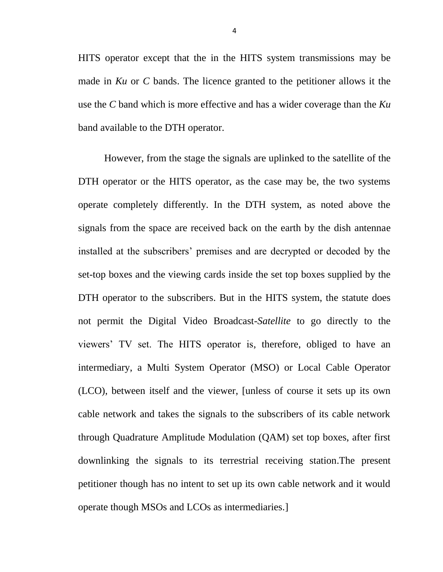HITS operator except that the in the HITS system transmissions may be made in *Ku* or *C* bands. The licence granted to the petitioner allows it the use the *C* band which is more effective and has a wider coverage than the *Ku* band available to the DTH operator.

However, from the stage the signals are uplinked to the satellite of the DTH operator or the HITS operator, as the case may be, the two systems operate completely differently. In the DTH system, as noted above the signals from the space are received back on the earth by the dish antennae installed at the subscribers' premises and are decrypted or decoded by the set-top boxes and the viewing cards inside the set top boxes supplied by the DTH operator to the subscribers. But in the HITS system, the statute does not permit the Digital Video Broadcast-*Satellite* to go directly to the viewers' TV set. The HITS operator is, therefore, obliged to have an intermediary, a Multi System Operator (MSO) or Local Cable Operator (LCO), between itself and the viewer, [unless of course it sets up its own cable network and takes the signals to the subscribers of its cable network through Quadrature Amplitude Modulation (QAM) set top boxes, after first downlinking the signals to its terrestrial receiving station.The present petitioner though has no intent to set up its own cable network and it would operate though MSOs and LCOs as intermediaries.]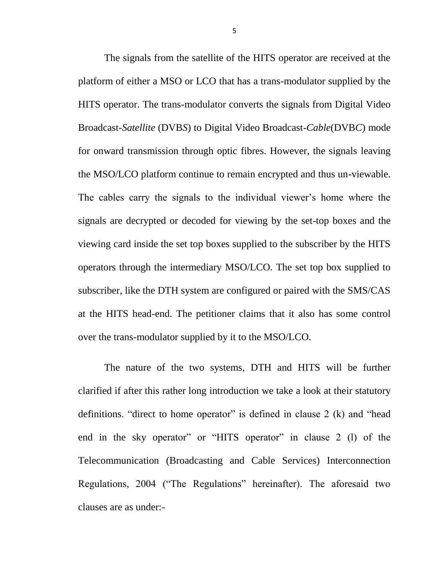The signals from the satellite of the HITS operator are received at the platform of either a MSO or LCO that has a trans-modulator supplied by the HITS operator. The trans-modulator converts the signals from Digital Video Broadcast-*Satellite* (DVB*S*) to Digital Video Broadcast-*Cable*(DVB*C*) mode for onward transmission through optic fibres. However, the signals leaving the MSO/LCO platform continue to remain encrypted and thus un-viewable. The cables carry the signals to the individual viewer's home where the signals are decrypted or decoded for viewing by the set-top boxes and the viewing card inside the set top boxes supplied to the subscriber by the HITS operators through the intermediary MSO/LCO. The set top box supplied to subscriber, like the DTH system are configured or paired with the SMS/CAS at the HITS head-end. The petitioner claims that it also has some control over the trans-modulator supplied by it to the MSO/LCO.

The nature of the two systems, DTH and HITS will be further clarified if after this rather long introduction we take a look at their statutory definitions. "direct to home operator" is defined in clause 2 (k) and "head end in the sky operator" or "HITS operator" in clause 2 (l) of the Telecommunication (Broadcasting and Cable Services) Interconnection Regulations, 2004 ("The Regulations" hereinafter). The aforesaid two clauses are as under:-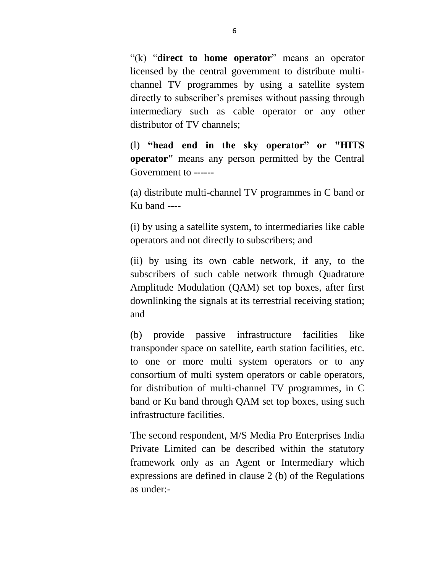"(k) "**direct to home operator**" means an operator licensed by the central government to distribute multichannel TV programmes by using a satellite system directly to subscriber's premises without passing through intermediary such as cable operator or any other distributor of TV channels;

(l) **"head end in the sky operator" or "HITS operator"** means any person permitted by the Central Government to ------

(a) distribute multi-channel TV programmes in C band or Ku band ----

(i) by using a satellite system, to intermediaries like cable operators and not directly to subscribers; and

(ii) by using its own cable network, if any, to the subscribers of such cable network through Quadrature Amplitude Modulation (QAM) set top boxes, after first downlinking the signals at its terrestrial receiving station; and

(b) provide passive infrastructure facilities like transponder space on satellite, earth station facilities, etc. to one or more multi system operators or to any consortium of multi system operators or cable operators, for distribution of multi-channel TV programmes, in C band or Ku band through QAM set top boxes, using such infrastructure facilities.

The second respondent, M/S Media Pro Enterprises India Private Limited can be described within the statutory framework only as an Agent or Intermediary which expressions are defined in clause 2 (b) of the Regulations as under:-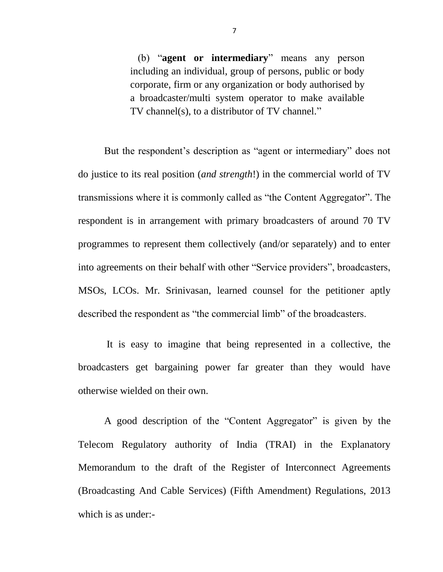(b) "**agent or intermediary**" means any person including an individual, group of persons, public or body corporate, firm or any organization or body authorised by a broadcaster/multi system operator to make available TV channel(s), to a distributor of TV channel."

But the respondent's description as "agent or intermediary" does not do justice to its real position (*and strength*!) in the commercial world of TV transmissions where it is commonly called as "the Content Aggregator". The respondent is in arrangement with primary broadcasters of around 70 TV programmes to represent them collectively (and/or separately) and to enter into agreements on their behalf with other "Service providers", broadcasters, MSOs, LCOs. Mr. Srinivasan, learned counsel for the petitioner aptly described the respondent as "the commercial limb" of the broadcasters.

It is easy to imagine that being represented in a collective, the broadcasters get bargaining power far greater than they would have otherwise wielded on their own.

A good description of the "Content Aggregator" is given by the Telecom Regulatory authority of India (TRAI) in the Explanatory Memorandum to the draft of the Register of Interconnect Agreements (Broadcasting And Cable Services) (Fifth Amendment) Regulations, 2013 which is as under:-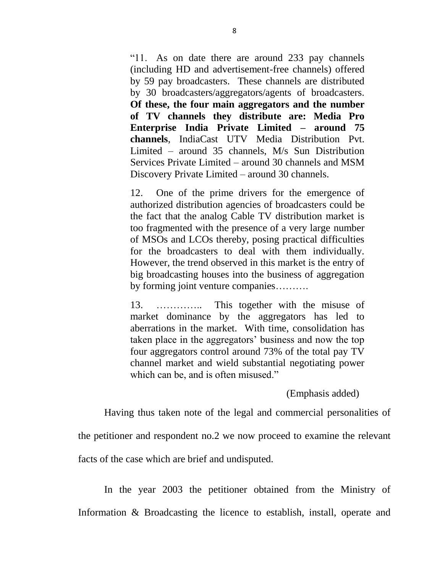"11. As on date there are around 233 pay channels (including HD and advertisement-free channels) offered by 59 pay broadcasters. These channels are distributed by 30 broadcasters/aggregators/agents of broadcasters. **Of these, the four main aggregators and the number of TV channels they distribute are: Media Pro Enterprise India Private Limited – around 75 channels**, IndiaCast UTV Media Distribution Pvt. Limited – around 35 channels, M/s Sun Distribution Services Private Limited – around 30 channels and MSM Discovery Private Limited – around 30 channels.

12. One of the prime drivers for the emergence of authorized distribution agencies of broadcasters could be the fact that the analog Cable TV distribution market is too fragmented with the presence of a very large number of MSOs and LCOs thereby, posing practical difficulties for the broadcasters to deal with them individually. However, the trend observed in this market is the entry of big broadcasting houses into the business of aggregation by forming joint venture companies……….

13. ………….. This together with the misuse of market dominance by the aggregators has led to aberrations in the market. With time, consolidation has taken place in the aggregators' business and now the top four aggregators control around 73% of the total pay TV channel market and wield substantial negotiating power which can be, and is often misused."

(Emphasis added)

Having thus taken note of the legal and commercial personalities of

the petitioner and respondent no.2 we now proceed to examine the relevant

facts of the case which are brief and undisputed.

In the year 2003 the petitioner obtained from the Ministry of Information & Broadcasting the licence to establish, install, operate and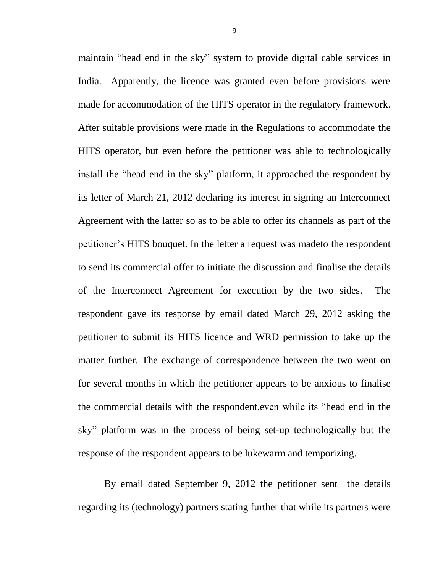maintain "head end in the sky" system to provide digital cable services in India. Apparently, the licence was granted even before provisions were made for accommodation of the HITS operator in the regulatory framework. After suitable provisions were made in the Regulations to accommodate the HITS operator, but even before the petitioner was able to technologically install the "head end in the sky" platform, it approached the respondent by its letter of March 21, 2012 declaring its interest in signing an Interconnect Agreement with the latter so as to be able to offer its channels as part of the petitioner's HITS bouquet. In the letter a request was madeto the respondent to send its commercial offer to initiate the discussion and finalise the details of the Interconnect Agreement for execution by the two sides. The respondent gave its response by email dated March 29, 2012 asking the petitioner to submit its HITS licence and WRD permission to take up the matter further. The exchange of correspondence between the two went on for several months in which the petitioner appears to be anxious to finalise the commercial details with the respondent,even while its "head end in the sky" platform was in the process of being set-up technologically but the response of the respondent appears to be lukewarm and temporizing.

By email dated September 9, 2012 the petitioner sent the details regarding its (technology) partners stating further that while its partners were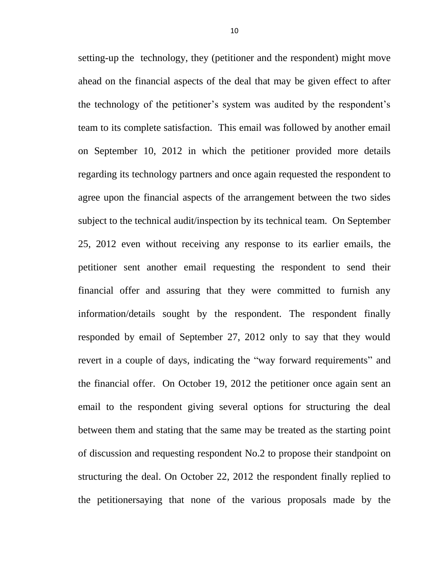setting-up the technology, they (petitioner and the respondent) might move ahead on the financial aspects of the deal that may be given effect to after the technology of the petitioner's system was audited by the respondent's team to its complete satisfaction. This email was followed by another email on September 10, 2012 in which the petitioner provided more details regarding its technology partners and once again requested the respondent to agree upon the financial aspects of the arrangement between the two sides subject to the technical audit/inspection by its technical team. On September 25, 2012 even without receiving any response to its earlier emails, the petitioner sent another email requesting the respondent to send their financial offer and assuring that they were committed to furnish any information/details sought by the respondent. The respondent finally responded by email of September 27, 2012 only to say that they would revert in a couple of days, indicating the "way forward requirements" and the financial offer. On October 19, 2012 the petitioner once again sent an email to the respondent giving several options for structuring the deal between them and stating that the same may be treated as the starting point of discussion and requesting respondent No.2 to propose their standpoint on structuring the deal. On October 22, 2012 the respondent finally replied to the petitionersaying that none of the various proposals made by the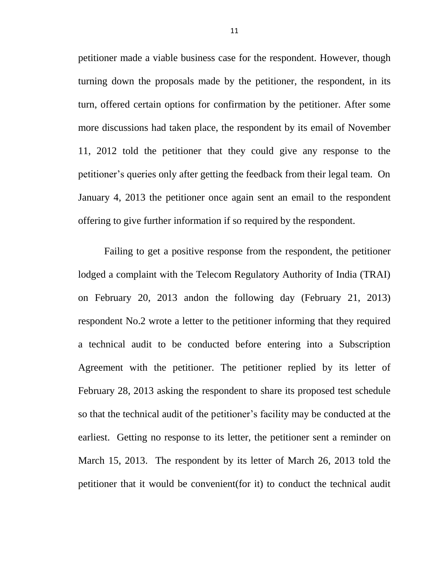petitioner made a viable business case for the respondent. However, though turning down the proposals made by the petitioner, the respondent, in its turn, offered certain options for confirmation by the petitioner. After some more discussions had taken place, the respondent by its email of November 11, 2012 told the petitioner that they could give any response to the petitioner's queries only after getting the feedback from their legal team. On January 4, 2013 the petitioner once again sent an email to the respondent offering to give further information if so required by the respondent.

Failing to get a positive response from the respondent, the petitioner lodged a complaint with the Telecom Regulatory Authority of India (TRAI) on February 20, 2013 andon the following day (February 21, 2013) respondent No.2 wrote a letter to the petitioner informing that they required a technical audit to be conducted before entering into a Subscription Agreement with the petitioner. The petitioner replied by its letter of February 28, 2013 asking the respondent to share its proposed test schedule so that the technical audit of the petitioner's facility may be conducted at the earliest. Getting no response to its letter, the petitioner sent a reminder on March 15, 2013. The respondent by its letter of March 26, 2013 told the petitioner that it would be convenient(for it) to conduct the technical audit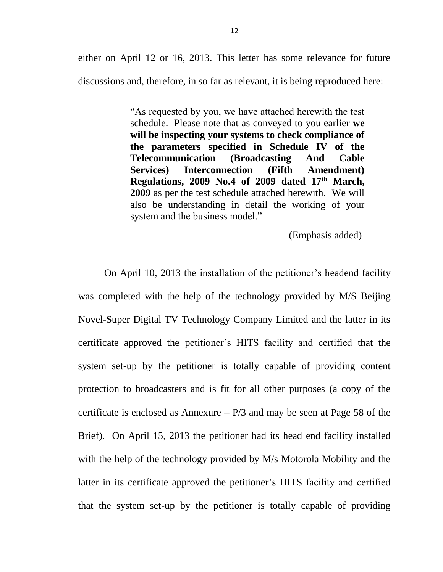either on April 12 or 16, 2013. This letter has some relevance for future discussions and, therefore, in so far as relevant, it is being reproduced here:

> "As requested by you, we have attached herewith the test schedule. Please note that as conveyed to you earlier **we will be inspecting your systems to check compliance of the parameters specified in Schedule IV of the Telecommunication (Broadcasting And Cable Services) Interconnection (Fifth Amendment) Regulations, 2009 No.4 of 2009 dated 17th March, 2009** as per the test schedule attached herewith. We will also be understanding in detail the working of your system and the business model."

> > (Emphasis added)

On April 10, 2013 the installation of the petitioner's headend facility was completed with the help of the technology provided by M/S Beijing Novel-Super Digital TV Technology Company Limited and the latter in its certificate approved the petitioner's HITS facility and certified that the system set-up by the petitioner is totally capable of providing content protection to broadcasters and is fit for all other purposes (a copy of the certificate is enclosed as Annexure  $- P/3$  and may be seen at Page 58 of the Brief). On April 15, 2013 the petitioner had its head end facility installed with the help of the technology provided by M/s Motorola Mobility and the latter in its certificate approved the petitioner's HITS facility and certified that the system set-up by the petitioner is totally capable of providing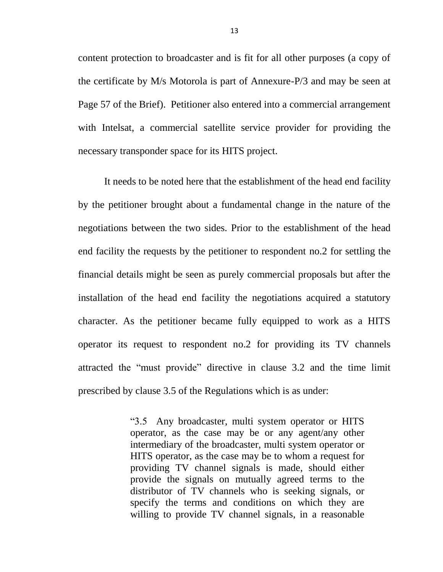content protection to broadcaster and is fit for all other purposes (a copy of the certificate by M/s Motorola is part of Annexure-P/3 and may be seen at Page 57 of the Brief). Petitioner also entered into a commercial arrangement with Intelsat, a commercial satellite service provider for providing the necessary transponder space for its HITS project.

It needs to be noted here that the establishment of the head end facility by the petitioner brought about a fundamental change in the nature of the negotiations between the two sides. Prior to the establishment of the head end facility the requests by the petitioner to respondent no.2 for settling the financial details might be seen as purely commercial proposals but after the installation of the head end facility the negotiations acquired a statutory character. As the petitioner became fully equipped to work as a HITS operator its request to respondent no.2 for providing its TV channels attracted the "must provide" directive in clause 3.2 and the time limit prescribed by clause 3.5 of the Regulations which is as under:

> "3.5 Any broadcaster, multi system operator or HITS operator, as the case may be or any agent/any other intermediary of the broadcaster, multi system operator or HITS operator, as the case may be to whom a request for providing TV channel signals is made, should either provide the signals on mutually agreed terms to the distributor of TV channels who is seeking signals, or specify the terms and conditions on which they are willing to provide TV channel signals, in a reasonable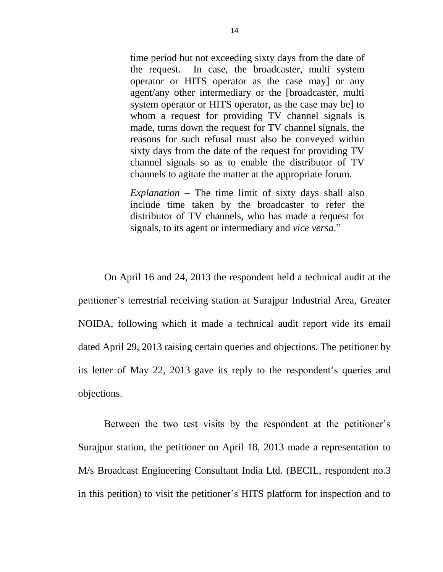time period but not exceeding sixty days from the date of the request. In case, the broadcaster, multi system operator or HITS operator as the case may] or any agent/any other intermediary or the [broadcaster, multi system operator or HITS operator, as the case may be] to whom a request for providing TV channel signals is made, turns down the request for TV channel signals, the reasons for such refusal must also be conveyed within sixty days from the date of the request for providing TV channel signals so as to enable the distributor of TV channels to agitate the matter at the appropriate forum.

*Explanation* – The time limit of sixty days shall also include time taken by the broadcaster to refer the distributor of TV channels, who has made a request for signals, to its agent or intermediary and *vice versa*."

On April 16 and 24, 2013 the respondent held a technical audit at the petitioner's terrestrial receiving station at Surajpur Industrial Area, Greater NOIDA, following which it made a technical audit report vide its email dated April 29, 2013 raising certain queries and objections. The petitioner by its letter of May 22, 2013 gave its reply to the respondent's queries and objections.

Between the two test visits by the respondent at the petitioner's Surajpur station, the petitioner on April 18, 2013 made a representation to M/s Broadcast Engineering Consultant India Ltd. (BECIL, respondent no.3 in this petition) to visit the petitioner's HITS platform for inspection and to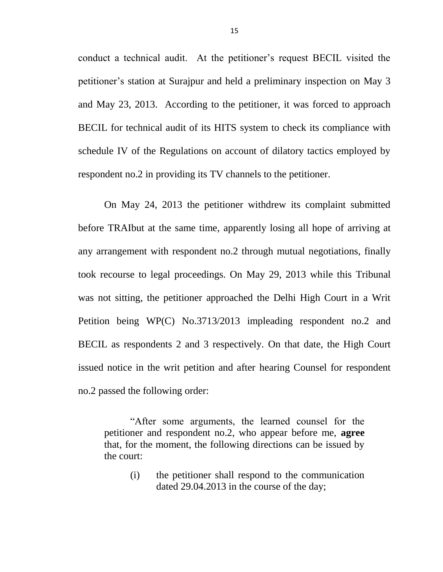conduct a technical audit. At the petitioner's request BECIL visited the petitioner's station at Surajpur and held a preliminary inspection on May 3 and May 23, 2013. According to the petitioner, it was forced to approach BECIL for technical audit of its HITS system to check its compliance with schedule IV of the Regulations on account of dilatory tactics employed by respondent no.2 in providing its TV channels to the petitioner.

On May 24, 2013 the petitioner withdrew its complaint submitted before TRAIbut at the same time, apparently losing all hope of arriving at any arrangement with respondent no.2 through mutual negotiations, finally took recourse to legal proceedings. On May 29, 2013 while this Tribunal was not sitting, the petitioner approached the Delhi High Court in a Writ Petition being WP(C) No.3713/2013 impleading respondent no.2 and BECIL as respondents 2 and 3 respectively. On that date, the High Court issued notice in the writ petition and after hearing Counsel for respondent no.2 passed the following order:

"After some arguments, the learned counsel for the petitioner and respondent no.2, who appear before me, **agree**  that, for the moment, the following directions can be issued by the court:

(i) the petitioner shall respond to the communication dated 29.04.2013 in the course of the day;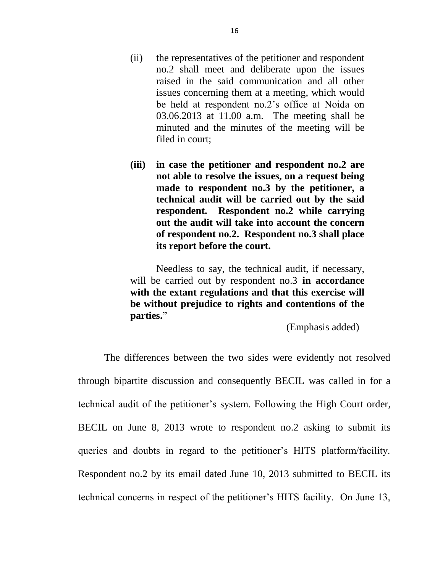- (ii) the representatives of the petitioner and respondent no.2 shall meet and deliberate upon the issues raised in the said communication and all other issues concerning them at a meeting, which would be held at respondent no.2's office at Noida on 03.06.2013 at 11.00 a.m. The meeting shall be minuted and the minutes of the meeting will be filed in court;
- **(iii) in case the petitioner and respondent no.2 are not able to resolve the issues, on a request being made to respondent no.3 by the petitioner, a technical audit will be carried out by the said respondent. Respondent no.2 while carrying out the audit will take into account the concern of respondent no.2. Respondent no.3 shall place its report before the court.**

Needless to say, the technical audit, if necessary, will be carried out by respondent no.3 **in accordance with the extant regulations and that this exercise will be without prejudice to rights and contentions of the parties.**"

(Emphasis added)

The differences between the two sides were evidently not resolved through bipartite discussion and consequently BECIL was called in for a technical audit of the petitioner's system. Following the High Court order, BECIL on June 8, 2013 wrote to respondent no.2 asking to submit its queries and doubts in regard to the petitioner's HITS platform/facility. Respondent no.2 by its email dated June 10, 2013 submitted to BECIL its technical concerns in respect of the petitioner's HITS facility. On June 13,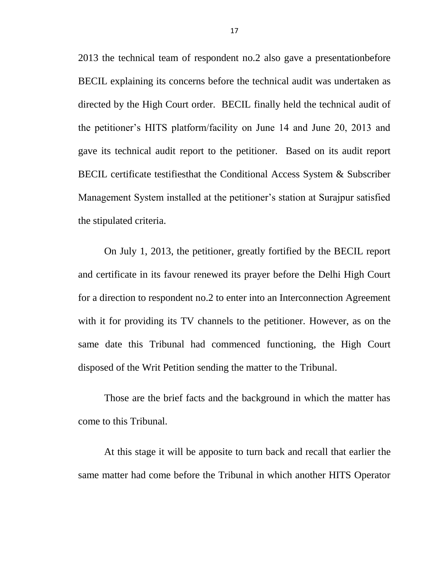2013 the technical team of respondent no.2 also gave a presentationbefore BECIL explaining its concerns before the technical audit was undertaken as directed by the High Court order. BECIL finally held the technical audit of the petitioner's HITS platform/facility on June 14 and June 20, 2013 and gave its technical audit report to the petitioner. Based on its audit report BECIL certificate testifiesthat the Conditional Access System & Subscriber Management System installed at the petitioner's station at Surajpur satisfied the stipulated criteria.

On July 1, 2013, the petitioner, greatly fortified by the BECIL report and certificate in its favour renewed its prayer before the Delhi High Court for a direction to respondent no.2 to enter into an Interconnection Agreement with it for providing its TV channels to the petitioner. However, as on the same date this Tribunal had commenced functioning, the High Court disposed of the Writ Petition sending the matter to the Tribunal.

Those are the brief facts and the background in which the matter has come to this Tribunal.

At this stage it will be apposite to turn back and recall that earlier the same matter had come before the Tribunal in which another HITS Operator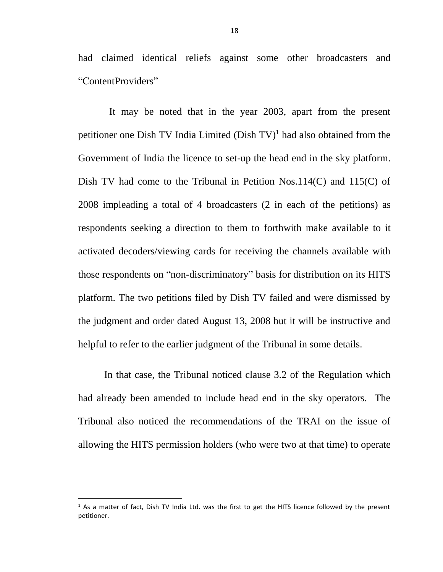had claimed identical reliefs against some other broadcasters and "ContentProviders"

 It may be noted that in the year 2003, apart from the present petitioner one Dish TV India Limited  $(Dish TV)<sup>1</sup>$  had also obtained from the Government of India the licence to set-up the head end in the sky platform. Dish TV had come to the Tribunal in Petition Nos.114(C) and 115(C) of 2008 impleading a total of 4 broadcasters (2 in each of the petitions) as respondents seeking a direction to them to forthwith make available to it activated decoders/viewing cards for receiving the channels available with those respondents on "non-discriminatory" basis for distribution on its HITS platform. The two petitions filed by Dish TV failed and were dismissed by the judgment and order dated August 13, 2008 but it will be instructive and helpful to refer to the earlier judgment of the Tribunal in some details.

In that case, the Tribunal noticed clause 3.2 of the Regulation which had already been amended to include head end in the sky operators. The Tribunal also noticed the recommendations of the TRAI on the issue of allowing the HITS permission holders (who were two at that time) to operate

l

 $<sup>1</sup>$  As a matter of fact, Dish TV India Ltd. was the first to get the HITS licence followed by the present</sup> petitioner.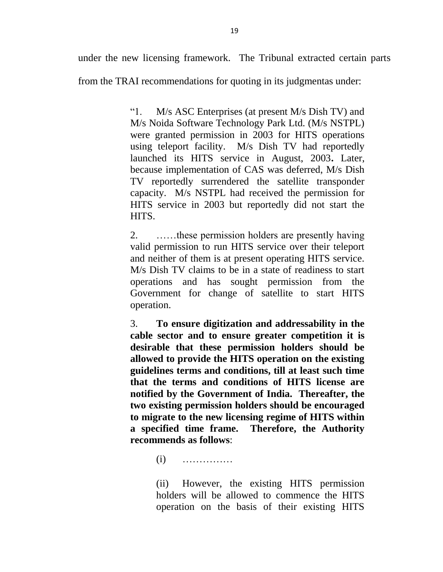under the new licensing framework. The Tribunal extracted certain parts

from the TRAI recommendations for quoting in its judgmentas under:

"1. M/s ASC Enterprises (at present M/s Dish TV) and M/s Noida Software Technology Park Ltd. (M/s NSTPL) were granted permission in 2003 for HITS operations using teleport facility. M/s Dish TV had reportedly launched its HITS service in August, 2003**.** Later, because implementation of CAS was deferred, M/s Dish TV reportedly surrendered the satellite transponder capacity. M/s NSTPL had received the permission for HITS service in 2003 but reportedly did not start the HITS.

2. ……these permission holders are presently having valid permission to run HITS service over their teleport and neither of them is at present operating HITS service. M/s Dish TV claims to be in a state of readiness to start operations and has sought permission from the Government for change of satellite to start HITS operation.

3. **To ensure digitization and addressability in the cable sector and to ensure greater competition it is desirable that these permission holders should be allowed to provide the HITS operation on the existing guidelines terms and conditions, till at least such time that the terms and conditions of HITS license are notified by the Government of India. Thereafter, the two existing permission holders should be encouraged to migrate to the new licensing regime of HITS within a specified time frame. Therefore, the Authority recommends as follows**:

(i) ……………

(ii) However, the existing HITS permission holders will be allowed to commence the HITS operation on the basis of their existing HITS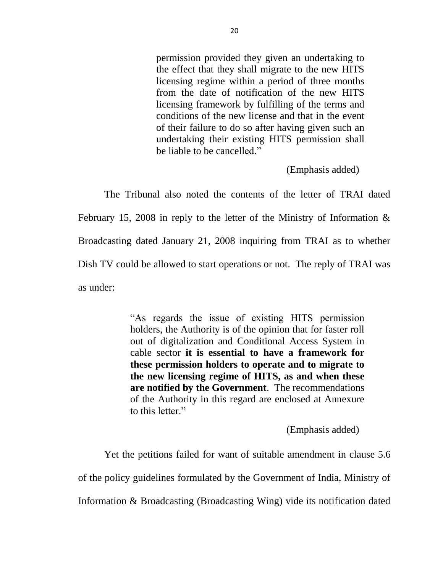permission provided they given an undertaking to the effect that they shall migrate to the new HITS licensing regime within a period of three months from the date of notification of the new HITS licensing framework by fulfilling of the terms and conditions of the new license and that in the event of their failure to do so after having given such an undertaking their existing HITS permission shall be liable to be cancelled."

(Emphasis added)

The Tribunal also noted the contents of the letter of TRAI dated February 15, 2008 in reply to the letter of the Ministry of Information & Broadcasting dated January 21, 2008 inquiring from TRAI as to whether Dish TV could be allowed to start operations or not. The reply of TRAI was as under:

> "As regards the issue of existing HITS permission holders, the Authority is of the opinion that for faster roll out of digitalization and Conditional Access System in cable sector **it is essential to have a framework for these permission holders to operate and to migrate to the new licensing regime of HITS, as and when these are notified by the Government**. The recommendations of the Authority in this regard are enclosed at Annexure to this letter."

> > (Emphasis added)

Yet the petitions failed for want of suitable amendment in clause 5.6 of the policy guidelines formulated by the Government of India, Ministry of Information & Broadcasting (Broadcasting Wing) vide its notification dated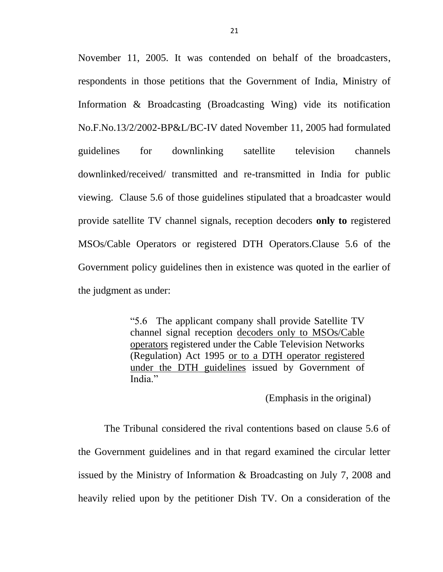November 11, 2005. It was contended on behalf of the broadcasters, respondents in those petitions that the Government of India, Ministry of Information & Broadcasting (Broadcasting Wing) vide its notification No.F.No.13/2/2002-BP&L/BC-IV dated November 11, 2005 had formulated guidelines for downlinking satellite television channels downlinked/received/ transmitted and re-transmitted in India for public viewing. Clause 5.6 of those guidelines stipulated that a broadcaster would provide satellite TV channel signals, reception decoders **only to** registered MSOs/Cable Operators or registered DTH Operators.Clause 5.6 of the Government policy guidelines then in existence was quoted in the earlier of the judgment as under:

> "5.6 The applicant company shall provide Satellite TV channel signal reception decoders only to MSOs/Cable operators registered under the Cable Television Networks (Regulation) Act 1995 or to a DTH operator registered under the DTH guidelines issued by Government of India."

> > (Emphasis in the original)

The Tribunal considered the rival contentions based on clause 5.6 of the Government guidelines and in that regard examined the circular letter issued by the Ministry of Information & Broadcasting on July 7, 2008 and heavily relied upon by the petitioner Dish TV. On a consideration of the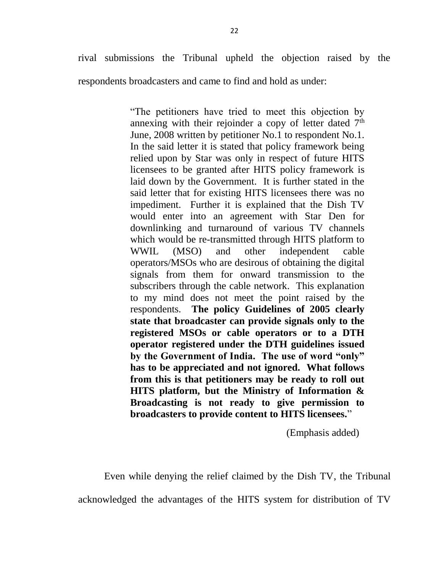rival submissions the Tribunal upheld the objection raised by the respondents broadcasters and came to find and hold as under:

> "The petitioners have tried to meet this objection by annexing with their rejoinder a copy of letter dated  $7<sup>th</sup>$ June, 2008 written by petitioner No.1 to respondent No.1. In the said letter it is stated that policy framework being relied upon by Star was only in respect of future HITS licensees to be granted after HITS policy framework is laid down by the Government. It is further stated in the said letter that for existing HITS licensees there was no impediment. Further it is explained that the Dish TV would enter into an agreement with Star Den for downlinking and turnaround of various TV channels which would be re-transmitted through HITS platform to WWIL (MSO) and other independent cable operators/MSOs who are desirous of obtaining the digital signals from them for onward transmission to the subscribers through the cable network. This explanation to my mind does not meet the point raised by the respondents. **The policy Guidelines of 2005 clearly state that broadcaster can provide signals only to the registered MSOs or cable operators or to a DTH operator registered under the DTH guidelines issued by the Government of India. The use of word "only" has to be appreciated and not ignored. What follows from this is that petitioners may be ready to roll out HITS platform, but the Ministry of Information & Broadcasting is not ready to give permission to broadcasters to provide content to HITS licensees.**"

> > (Emphasis added)

Even while denying the relief claimed by the Dish TV, the Tribunal acknowledged the advantages of the HITS system for distribution of TV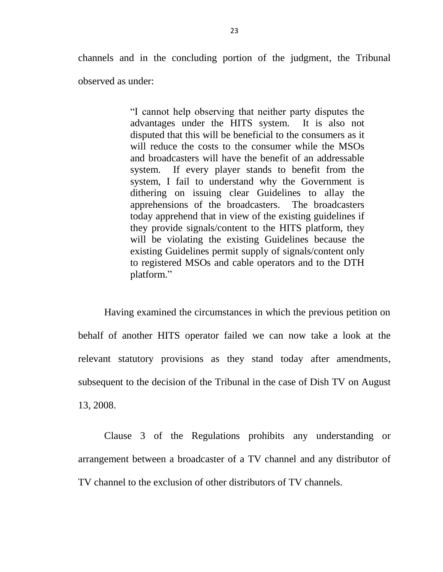channels and in the concluding portion of the judgment, the Tribunal observed as under:

> "I cannot help observing that neither party disputes the advantages under the HITS system. It is also not disputed that this will be beneficial to the consumers as it will reduce the costs to the consumer while the MSOs and broadcasters will have the benefit of an addressable system. If every player stands to benefit from the system, I fail to understand why the Government is dithering on issuing clear Guidelines to allay the apprehensions of the broadcasters. The broadcasters today apprehend that in view of the existing guidelines if they provide signals/content to the HITS platform, they will be violating the existing Guidelines because the existing Guidelines permit supply of signals/content only to registered MSOs and cable operators and to the DTH platform."

Having examined the circumstances in which the previous petition on behalf of another HITS operator failed we can now take a look at the relevant statutory provisions as they stand today after amendments, subsequent to the decision of the Tribunal in the case of Dish TV on August 13, 2008.

Clause 3 of the Regulations prohibits any understanding or arrangement between a broadcaster of a TV channel and any distributor of TV channel to the exclusion of other distributors of TV channels.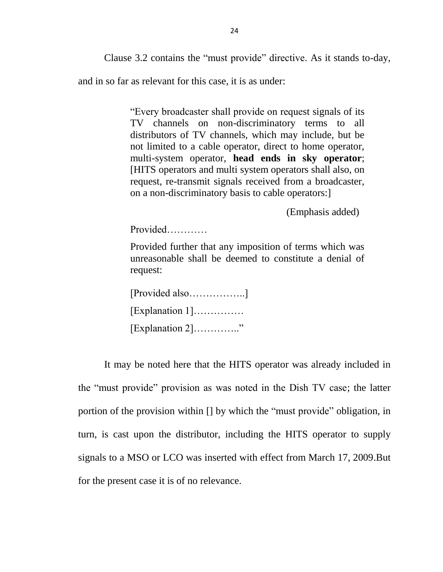Clause 3.2 contains the "must provide" directive. As it stands to-day,

and in so far as relevant for this case, it is as under:

"Every broadcaster shall provide on request signals of its TV channels on non-discriminatory terms to all distributors of TV channels, which may include, but be not limited to a cable operator, direct to home operator, multi-system operator, **head ends in sky operator**; [HITS operators and multi system operators shall also, on request, re-transmit signals received from a broadcaster, on a non-discriminatory basis to cable operators:]

(Emphasis added)

Provided…………

Provided further that any imposition of terms which was unreasonable shall be deemed to constitute a denial of request:

| [Provided also]         |    |
|-------------------------|----|
| $[Explanation 1]$       |    |
| $[Explanation 2] \dots$ | ,, |

It may be noted here that the HITS operator was already included in the "must provide" provision as was noted in the Dish TV case; the latter portion of the provision within [] by which the "must provide" obligation, in turn, is cast upon the distributor, including the HITS operator to supply signals to a MSO or LCO was inserted with effect from March 17, 2009.But for the present case it is of no relevance.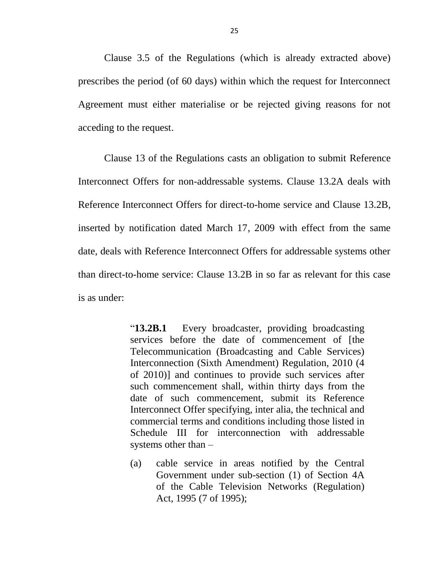Clause 3.5 of the Regulations (which is already extracted above) prescribes the period (of 60 days) within which the request for Interconnect Agreement must either materialise or be rejected giving reasons for not acceding to the request.

Clause 13 of the Regulations casts an obligation to submit Reference Interconnect Offers for non-addressable systems. Clause 13.2A deals with Reference Interconnect Offers for direct-to-home service and Clause 13.2B, inserted by notification dated March 17, 2009 with effect from the same date, deals with Reference Interconnect Offers for addressable systems other than direct-to-home service: Clause 13.2B in so far as relevant for this case is as under:

> "**13.2B.1** Every broadcaster, providing broadcasting services before the date of commencement of [the Telecommunication (Broadcasting and Cable Services) Interconnection (Sixth Amendment) Regulation, 2010 (4 of 2010)] and continues to provide such services after such commencement shall, within thirty days from the date of such commencement, submit its Reference Interconnect Offer specifying, inter alia, the technical and commercial terms and conditions including those listed in Schedule III for interconnection with addressable systems other than –

> (a) cable service in areas notified by the Central Government under sub-section (1) of Section 4A of the Cable Television Networks (Regulation) Act, 1995 (7 of 1995);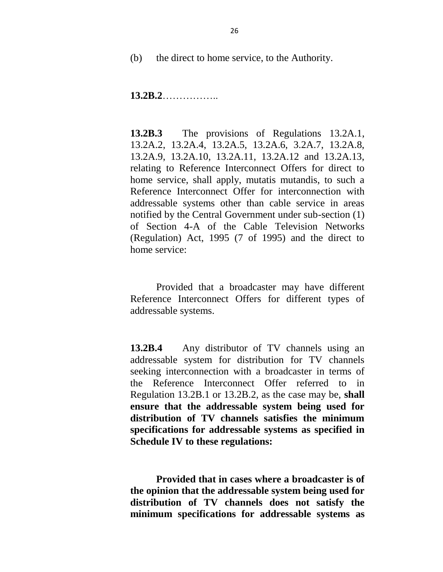(b) the direct to home service, to the Authority.

**13.2B.2**……………..

**13.2B.3** The provisions of Regulations 13.2A.1, 13.2A.2, 13.2A.4, 13.2A.5, 13.2A.6, 3.2A.7, 13.2A.8, 13.2A.9, 13.2A.10, 13.2A.11, 13.2A.12 and 13.2A.13, relating to Reference Interconnect Offers for direct to home service, shall apply, mutatis mutandis, to such a Reference Interconnect Offer for interconnection with addressable systems other than cable service in areas notified by the Central Government under sub-section (1) of Section 4-A of the Cable Television Networks (Regulation) Act, 1995 (7 of 1995) and the direct to home service:

Provided that a broadcaster may have different Reference Interconnect Offers for different types of addressable systems.

**13.2B.4** Any distributor of TV channels using an addressable system for distribution for TV channels seeking interconnection with a broadcaster in terms of the Reference Interconnect Offer referred to in Regulation 13.2B.1 or 13.2B.2, as the case may be, **shall ensure that the addressable system being used for distribution of TV channels satisfies the minimum specifications for addressable systems as specified in Schedule IV to these regulations:**

**Provided that in cases where a broadcaster is of the opinion that the addressable system being used for distribution of TV channels does not satisfy the minimum specifications for addressable systems as**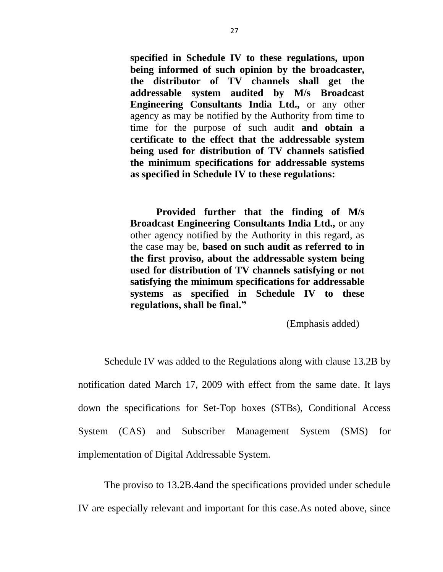**specified in Schedule IV to these regulations, upon being informed of such opinion by the broadcaster, the distributor of TV channels shall get the addressable system audited by M/s Broadcast Engineering Consultants India Ltd.,** or any other agency as may be notified by the Authority from time to time for the purpose of such audit **and obtain a certificate to the effect that the addressable system being used for distribution of TV channels satisfied the minimum specifications for addressable systems as specified in Schedule IV to these regulations:**

**Provided further that the finding of M/s Broadcast Engineering Consultants India Ltd.,** or any other agency notified by the Authority in this regard, as the case may be, **based on such audit as referred to in the first proviso, about the addressable system being used for distribution of TV channels satisfying or not satisfying the minimum specifications for addressable systems as specified in Schedule IV to these regulations, shall be final."**

(Emphasis added)

Schedule IV was added to the Regulations along with clause 13.2B by notification dated March 17, 2009 with effect from the same date. It lays down the specifications for Set-Top boxes (STBs), Conditional Access System (CAS) and Subscriber Management System (SMS) for implementation of Digital Addressable System.

The proviso to 13.2B.4and the specifications provided under schedule IV are especially relevant and important for this case.As noted above, since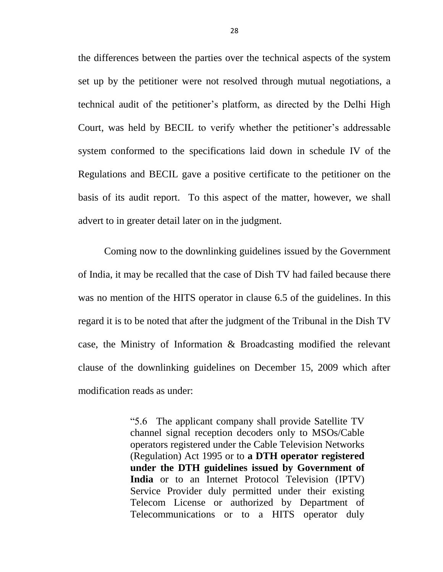the differences between the parties over the technical aspects of the system set up by the petitioner were not resolved through mutual negotiations, a technical audit of the petitioner's platform, as directed by the Delhi High Court, was held by BECIL to verify whether the petitioner's addressable system conformed to the specifications laid down in schedule IV of the Regulations and BECIL gave a positive certificate to the petitioner on the basis of its audit report. To this aspect of the matter, however, we shall advert to in greater detail later on in the judgment.

Coming now to the downlinking guidelines issued by the Government of India, it may be recalled that the case of Dish TV had failed because there was no mention of the HITS operator in clause 6.5 of the guidelines. In this regard it is to be noted that after the judgment of the Tribunal in the Dish TV case, the Ministry of Information & Broadcasting modified the relevant clause of the downlinking guidelines on December 15, 2009 which after modification reads as under:

> "5.6 The applicant company shall provide Satellite TV channel signal reception decoders only to MSOs/Cable operators registered under the Cable Television Networks (Regulation) Act 1995 or to **a DTH operator registered under the DTH guidelines issued by Government of India** or to an Internet Protocol Television (IPTV) Service Provider duly permitted under their existing Telecom License or authorized by Department of Telecommunications or to a HITS operator duly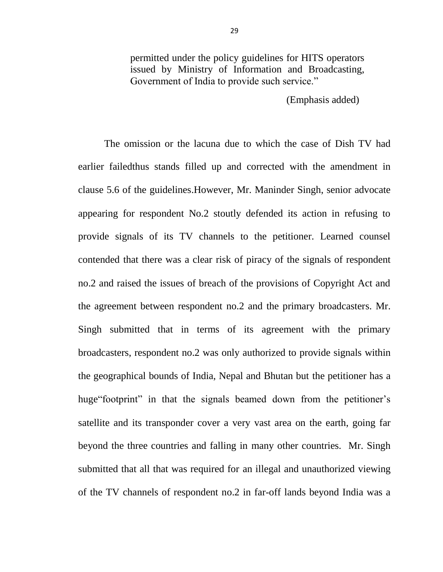permitted under the policy guidelines for HITS operators issued by Ministry of Information and Broadcasting, Government of India to provide such service."

(Emphasis added)

The omission or the lacuna due to which the case of Dish TV had earlier failedthus stands filled up and corrected with the amendment in clause 5.6 of the guidelines.However, Mr. Maninder Singh, senior advocate appearing for respondent No.2 stoutly defended its action in refusing to provide signals of its TV channels to the petitioner. Learned counsel contended that there was a clear risk of piracy of the signals of respondent no.2 and raised the issues of breach of the provisions of Copyright Act and the agreement between respondent no.2 and the primary broadcasters. Mr. Singh submitted that in terms of its agreement with the primary broadcasters, respondent no.2 was only authorized to provide signals within the geographical bounds of India, Nepal and Bhutan but the petitioner has a huge"footprint" in that the signals beamed down from the petitioner's satellite and its transponder cover a very vast area on the earth, going far beyond the three countries and falling in many other countries. Mr. Singh submitted that all that was required for an illegal and unauthorized viewing of the TV channels of respondent no.2 in far-off lands beyond India was a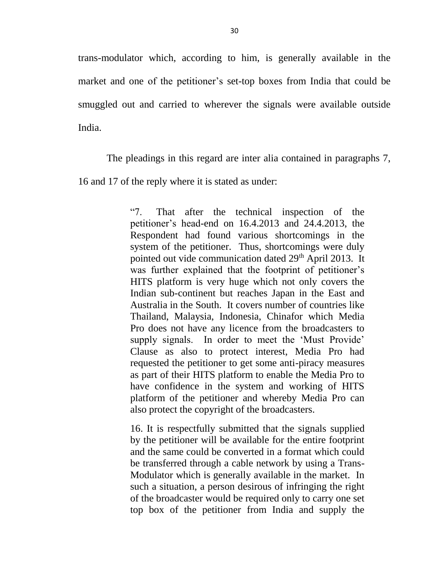trans-modulator which, according to him, is generally available in the market and one of the petitioner's set-top boxes from India that could be smuggled out and carried to wherever the signals were available outside India.

The pleadings in this regard are inter alia contained in paragraphs 7, 16 and 17 of the reply where it is stated as under:

> "7. That after the technical inspection of the petitioner's head-end on 16.4.2013 and 24.4.2013, the Respondent had found various shortcomings in the system of the petitioner. Thus, shortcomings were duly pointed out vide communication dated 29<sup>th</sup> April 2013. It was further explained that the footprint of petitioner's HITS platform is very huge which not only covers the Indian sub-continent but reaches Japan in the East and Australia in the South. It covers number of countries like Thailand, Malaysia, Indonesia, Chinafor which Media Pro does not have any licence from the broadcasters to supply signals. In order to meet the 'Must Provide' Clause as also to protect interest, Media Pro had requested the petitioner to get some anti-piracy measures as part of their HITS platform to enable the Media Pro to have confidence in the system and working of HITS platform of the petitioner and whereby Media Pro can also protect the copyright of the broadcasters.

> 16. It is respectfully submitted that the signals supplied by the petitioner will be available for the entire footprint and the same could be converted in a format which could be transferred through a cable network by using a Trans-Modulator which is generally available in the market. In such a situation, a person desirous of infringing the right of the broadcaster would be required only to carry one set top box of the petitioner from India and supply the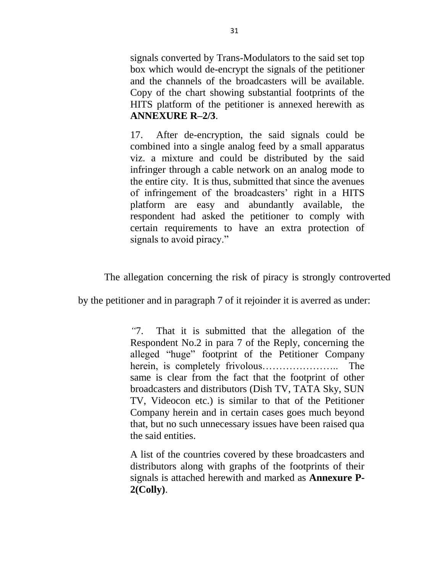signals converted by Trans-Modulators to the said set top box which would de-encrypt the signals of the petitioner and the channels of the broadcasters will be available. Copy of the chart showing substantial footprints of the HITS platform of the petitioner is annexed herewith as **ANNEXURE R–2/3**.

17. After de-encryption, the said signals could be combined into a single analog feed by a small apparatus viz. a mixture and could be distributed by the said infringer through a cable network on an analog mode to the entire city. It is thus, submitted that since the avenues of infringement of the broadcasters' right in a HITS platform are easy and abundantly available, the respondent had asked the petitioner to comply with certain requirements to have an extra protection of signals to avoid piracy."

The allegation concerning the risk of piracy is strongly controverted

by the petitioner and in paragraph 7 of it rejoinder it is averred as under:

*"*7. That it is submitted that the allegation of the Respondent No.2 in para 7 of the Reply, concerning the alleged "huge" footprint of the Petitioner Company herein, is completely frivolous………………….. The same is clear from the fact that the footprint of other broadcasters and distributors (Dish TV, TATA Sky, SUN TV, Videocon etc.) is similar to that of the Petitioner Company herein and in certain cases goes much beyond that, but no such unnecessary issues have been raised qua the said entities.

A list of the countries covered by these broadcasters and distributors along with graphs of the footprints of their signals is attached herewith and marked as **Annexure P-2(Colly)**.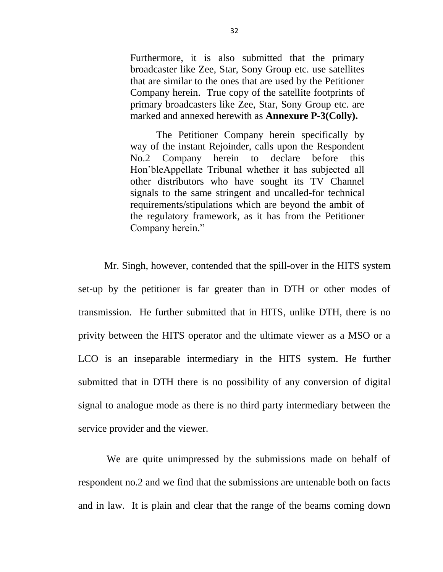Furthermore, it is also submitted that the primary broadcaster like Zee, Star, Sony Group etc. use satellites that are similar to the ones that are used by the Petitioner Company herein. True copy of the satellite footprints of primary broadcasters like Zee, Star, Sony Group etc. are marked and annexed herewith as **Annexure P-3(Colly).**

The Petitioner Company herein specifically by way of the instant Rejoinder, calls upon the Respondent No.2 Company herein to declare before this Hon'bleAppellate Tribunal whether it has subjected all other distributors who have sought its TV Channel signals to the same stringent and uncalled-for technical requirements/stipulations which are beyond the ambit of the regulatory framework, as it has from the Petitioner Company herein."

Mr. Singh, however, contended that the spill-over in the HITS system set-up by the petitioner is far greater than in DTH or other modes of transmission. He further submitted that in HITS, unlike DTH, there is no privity between the HITS operator and the ultimate viewer as a MSO or a LCO is an inseparable intermediary in the HITS system. He further submitted that in DTH there is no possibility of any conversion of digital signal to analogue mode as there is no third party intermediary between the service provider and the viewer.

We are quite unimpressed by the submissions made on behalf of respondent no.2 and we find that the submissions are untenable both on facts and in law. It is plain and clear that the range of the beams coming down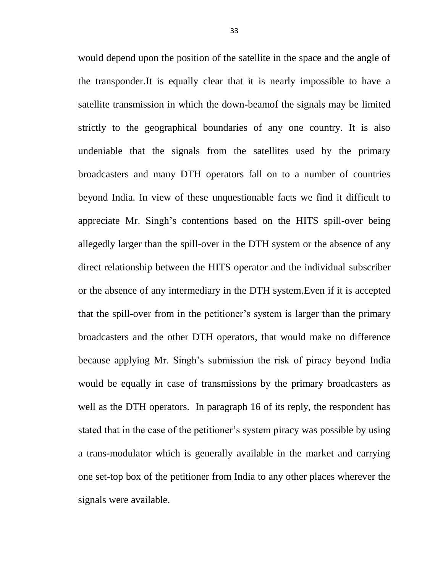would depend upon the position of the satellite in the space and the angle of the transponder.It is equally clear that it is nearly impossible to have a satellite transmission in which the down-beamof the signals may be limited strictly to the geographical boundaries of any one country. It is also undeniable that the signals from the satellites used by the primary broadcasters and many DTH operators fall on to a number of countries beyond India. In view of these unquestionable facts we find it difficult to appreciate Mr. Singh's contentions based on the HITS spill-over being allegedly larger than the spill-over in the DTH system or the absence of any direct relationship between the HITS operator and the individual subscriber or the absence of any intermediary in the DTH system.Even if it is accepted that the spill-over from in the petitioner's system is larger than the primary broadcasters and the other DTH operators, that would make no difference because applying Mr. Singh's submission the risk of piracy beyond India would be equally in case of transmissions by the primary broadcasters as well as the DTH operators. In paragraph 16 of its reply, the respondent has stated that in the case of the petitioner's system piracy was possible by using a trans-modulator which is generally available in the market and carrying one set-top box of the petitioner from India to any other places wherever the signals were available.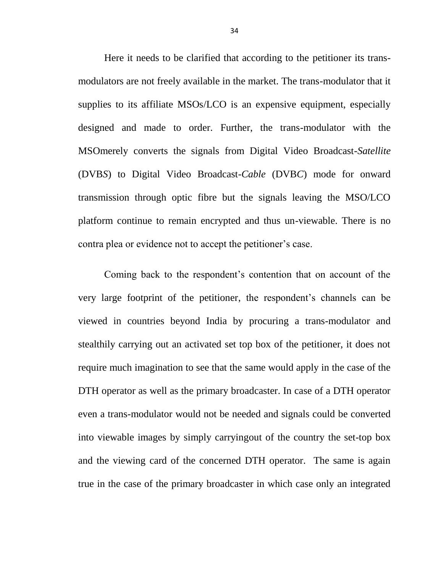Here it needs to be clarified that according to the petitioner its transmodulators are not freely available in the market. The trans-modulator that it supplies to its affiliate MSOs/LCO is an expensive equipment, especially designed and made to order. Further, the trans-modulator with the MSOmerely converts the signals from Digital Video Broadcast-*Satellite* (DVB*S*) to Digital Video Broadcast-*Cable* (DVB*C*) mode for onward transmission through optic fibre but the signals leaving the MSO/LCO platform continue to remain encrypted and thus un-viewable. There is no contra plea or evidence not to accept the petitioner's case.

Coming back to the respondent's contention that on account of the very large footprint of the petitioner, the respondent's channels can be viewed in countries beyond India by procuring a trans-modulator and stealthily carrying out an activated set top box of the petitioner, it does not require much imagination to see that the same would apply in the case of the DTH operator as well as the primary broadcaster. In case of a DTH operator even a trans-modulator would not be needed and signals could be converted into viewable images by simply carryingout of the country the set-top box and the viewing card of the concerned DTH operator. The same is again true in the case of the primary broadcaster in which case only an integrated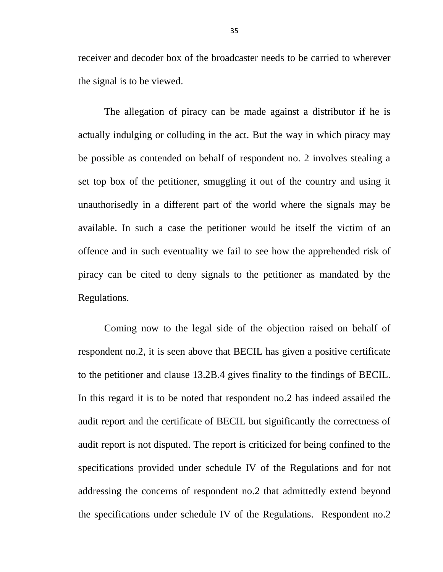receiver and decoder box of the broadcaster needs to be carried to wherever the signal is to be viewed.

The allegation of piracy can be made against a distributor if he is actually indulging or colluding in the act. But the way in which piracy may be possible as contended on behalf of respondent no. 2 involves stealing a set top box of the petitioner, smuggling it out of the country and using it unauthorisedly in a different part of the world where the signals may be available. In such a case the petitioner would be itself the victim of an offence and in such eventuality we fail to see how the apprehended risk of piracy can be cited to deny signals to the petitioner as mandated by the Regulations.

Coming now to the legal side of the objection raised on behalf of respondent no.2, it is seen above that BECIL has given a positive certificate to the petitioner and clause 13.2B.4 gives finality to the findings of BECIL. In this regard it is to be noted that respondent no.2 has indeed assailed the audit report and the certificate of BECIL but significantly the correctness of audit report is not disputed. The report is criticized for being confined to the specifications provided under schedule IV of the Regulations and for not addressing the concerns of respondent no.2 that admittedly extend beyond the specifications under schedule IV of the Regulations. Respondent no.2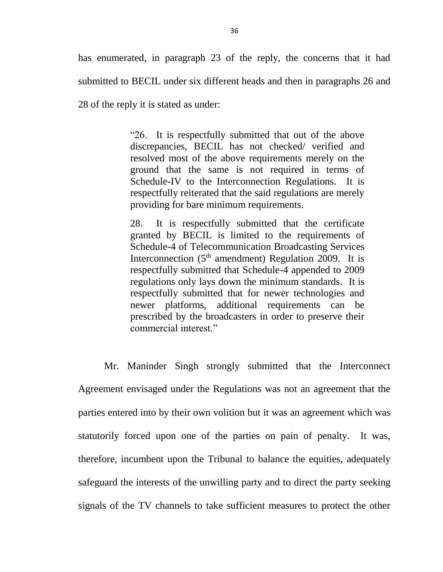has enumerated, in paragraph 23 of the reply, the concerns that it had submitted to BECIL under six different heads and then in paragraphs 26 and 28 of the reply it is stated as under:

> "26. It is respectfully submitted that out of the above discrepancies, BECIL has not checked/ verified and resolved most of the above requirements merely on the ground that the same is not required in terms of Schedule-IV to the Interconnection Regulations. It is respectfully reiterated that the said regulations are merely providing for bare minimum requirements.

> 28. It is respectfully submitted that the certificate granted by BECIL is limited to the requirements of Schedule-4 of Telecommunication Broadcasting Services Interconnection  $(5<sup>th</sup>$  amendment) Regulation 2009. It is respectfully submitted that Schedule-4 appended to 2009 regulations only lays down the minimum standards. It is respectfully submitted that for newer technologies and newer platforms, additional requirements can be prescribed by the broadcasters in order to preserve their commercial interest."

Mr. Maninder Singh strongly submitted that the Interconnect Agreement envisaged under the Regulations was not an agreement that the parties entered into by their own volition but it was an agreement which was statutorily forced upon one of the parties on pain of penalty. It was, therefore, incumbent upon the Tribunal to balance the equities, adequately safeguard the interests of the unwilling party and to direct the party seeking signals of the TV channels to take sufficient measures to protect the other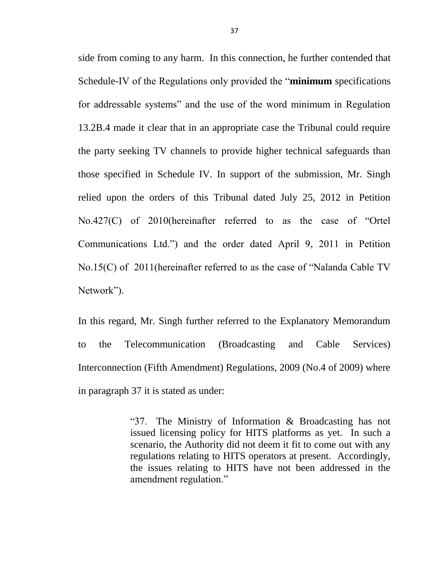side from coming to any harm. In this connection, he further contended that Schedule-IV of the Regulations only provided the "**minimum** specifications for addressable systems" and the use of the word minimum in Regulation 13.2B.4 made it clear that in an appropriate case the Tribunal could require the party seeking TV channels to provide higher technical safeguards than those specified in Schedule IV. In support of the submission, Mr. Singh relied upon the orders of this Tribunal dated July 25, 2012 in Petition No.427(C) of 2010(hereinafter referred to as the case of "Ortel Communications Ltd.") and the order dated April 9, 2011 in Petition No.15(C) of 2011(hereinafter referred to as the case of "Nalanda Cable TV Network").

In this regard, Mr. Singh further referred to the Explanatory Memorandum to the Telecommunication (Broadcasting and Cable Services) Interconnection (Fifth Amendment) Regulations, 2009 (No.4 of 2009) where in paragraph 37 it is stated as under:

> "37. The Ministry of Information & Broadcasting has not issued licensing policy for HITS platforms as yet. In such a scenario, the Authority did not deem it fit to come out with any regulations relating to HITS operators at present. Accordingly, the issues relating to HITS have not been addressed in the amendment regulation."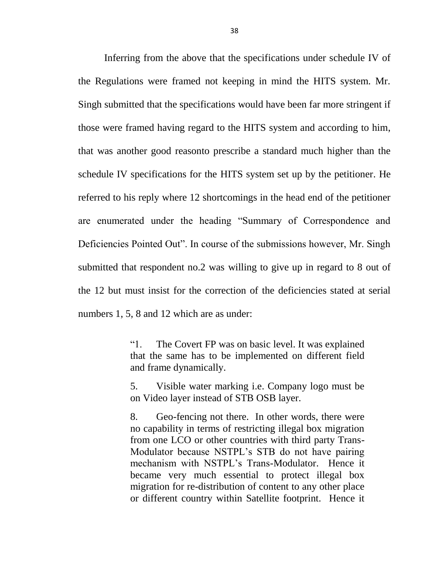Inferring from the above that the specifications under schedule IV of the Regulations were framed not keeping in mind the HITS system. Mr. Singh submitted that the specifications would have been far more stringent if those were framed having regard to the HITS system and according to him, that was another good reasonto prescribe a standard much higher than the schedule IV specifications for the HITS system set up by the petitioner. He referred to his reply where 12 shortcomings in the head end of the petitioner are enumerated under the heading "Summary of Correspondence and Deficiencies Pointed Out". In course of the submissions however, Mr. Singh submitted that respondent no.2 was willing to give up in regard to 8 out of the 12 but must insist for the correction of the deficiencies stated at serial numbers 1, 5, 8 and 12 which are as under:

> "1. The Covert FP was on basic level. It was explained that the same has to be implemented on different field and frame dynamically.

> 5. Visible water marking i.e. Company logo must be on Video layer instead of STB OSB layer.

> 8. Geo-fencing not there. In other words, there were no capability in terms of restricting illegal box migration from one LCO or other countries with third party Trans-Modulator because NSTPL's STB do not have pairing mechanism with NSTPL's Trans-Modulator. Hence it became very much essential to protect illegal box migration for re-distribution of content to any other place or different country within Satellite footprint. Hence it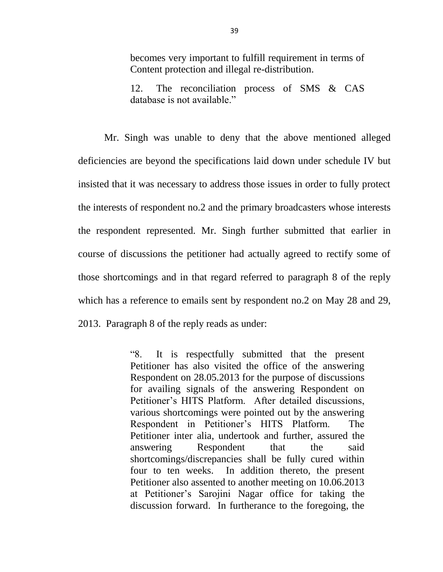becomes very important to fulfill requirement in terms of Content protection and illegal re-distribution.

12. The reconciliation process of SMS & CAS database is not available."

Mr. Singh was unable to deny that the above mentioned alleged deficiencies are beyond the specifications laid down under schedule IV but insisted that it was necessary to address those issues in order to fully protect the interests of respondent no.2 and the primary broadcasters whose interests the respondent represented. Mr. Singh further submitted that earlier in course of discussions the petitioner had actually agreed to rectify some of those shortcomings and in that regard referred to paragraph 8 of the reply which has a reference to emails sent by respondent no.2 on May 28 and 29, 2013. Paragraph 8 of the reply reads as under:

> "8. It is respectfully submitted that the present Petitioner has also visited the office of the answering Respondent on 28.05.2013 for the purpose of discussions for availing signals of the answering Respondent on Petitioner's HITS Platform. After detailed discussions, various shortcomings were pointed out by the answering Respondent in Petitioner's HITS Platform. The Petitioner inter alia, undertook and further, assured the answering Respondent that the said shortcomings/discrepancies shall be fully cured within four to ten weeks. In addition thereto, the present Petitioner also assented to another meeting on 10.06.2013 at Petitioner's Sarojini Nagar office for taking the discussion forward. In furtherance to the foregoing, the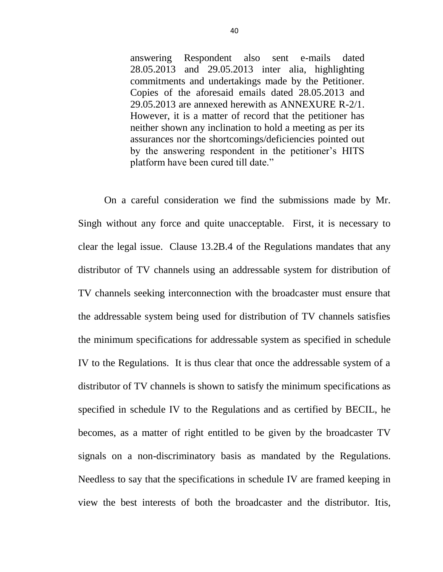answering Respondent also sent e-mails dated 28.05.2013 and 29.05.2013 inter alia, highlighting commitments and undertakings made by the Petitioner. Copies of the aforesaid emails dated 28.05.2013 and 29.05.2013 are annexed herewith as ANNEXURE R-2/1. However, it is a matter of record that the petitioner has neither shown any inclination to hold a meeting as per its assurances nor the shortcomings/deficiencies pointed out by the answering respondent in the petitioner's HITS platform have been cured till date."

On a careful consideration we find the submissions made by Mr. Singh without any force and quite unacceptable. First, it is necessary to clear the legal issue. Clause 13.2B.4 of the Regulations mandates that any distributor of TV channels using an addressable system for distribution of TV channels seeking interconnection with the broadcaster must ensure that the addressable system being used for distribution of TV channels satisfies the minimum specifications for addressable system as specified in schedule IV to the Regulations. It is thus clear that once the addressable system of a distributor of TV channels is shown to satisfy the minimum specifications as specified in schedule IV to the Regulations and as certified by BECIL, he becomes, as a matter of right entitled to be given by the broadcaster TV signals on a non-discriminatory basis as mandated by the Regulations. Needless to say that the specifications in schedule IV are framed keeping in view the best interests of both the broadcaster and the distributor. Itis,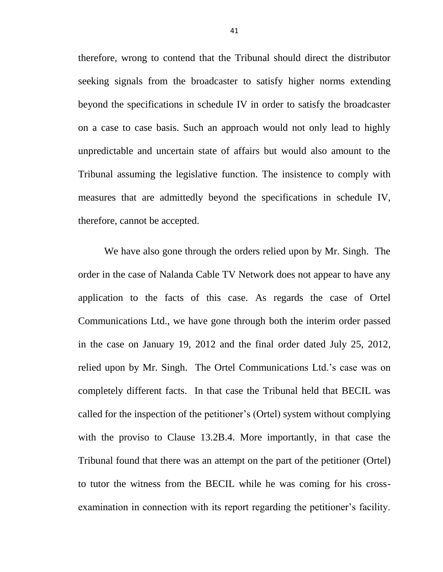therefore, wrong to contend that the Tribunal should direct the distributor seeking signals from the broadcaster to satisfy higher norms extending beyond the specifications in schedule IV in order to satisfy the broadcaster on a case to case basis. Such an approach would not only lead to highly unpredictable and uncertain state of affairs but would also amount to the Tribunal assuming the legislative function. The insistence to comply with measures that are admittedly beyond the specifications in schedule IV, therefore, cannot be accepted.

We have also gone through the orders relied upon by Mr. Singh. The order in the case of Nalanda Cable TV Network does not appear to have any application to the facts of this case. As regards the case of Ortel Communications Ltd., we have gone through both the interim order passed in the case on January 19, 2012 and the final order dated July 25, 2012, relied upon by Mr. Singh. The Ortel Communications Ltd.'s case was on completely different facts. In that case the Tribunal held that BECIL was called for the inspection of the petitioner's (Ortel) system without complying with the proviso to Clause 13.2B.4. More importantly, in that case the Tribunal found that there was an attempt on the part of the petitioner (Ortel) to tutor the witness from the BECIL while he was coming for his crossexamination in connection with its report regarding the petitioner's facility.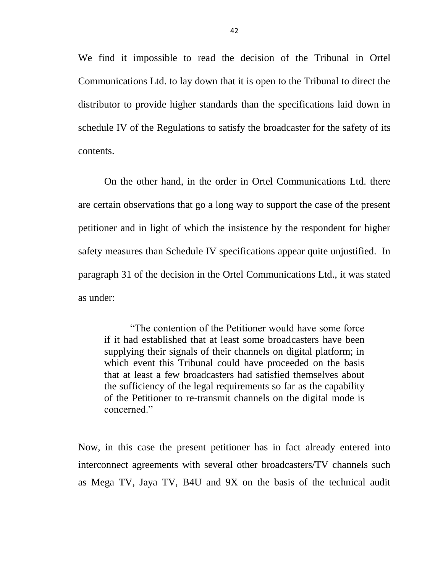We find it impossible to read the decision of the Tribunal in Ortel Communications Ltd. to lay down that it is open to the Tribunal to direct the distributor to provide higher standards than the specifications laid down in schedule IV of the Regulations to satisfy the broadcaster for the safety of its contents.

On the other hand, in the order in Ortel Communications Ltd. there are certain observations that go a long way to support the case of the present petitioner and in light of which the insistence by the respondent for higher safety measures than Schedule IV specifications appear quite unjustified. In paragraph 31 of the decision in the Ortel Communications Ltd., it was stated as under:

"The contention of the Petitioner would have some force if it had established that at least some broadcasters have been supplying their signals of their channels on digital platform; in which event this Tribunal could have proceeded on the basis that at least a few broadcasters had satisfied themselves about the sufficiency of the legal requirements so far as the capability of the Petitioner to re-transmit channels on the digital mode is concerned."

Now, in this case the present petitioner has in fact already entered into interconnect agreements with several other broadcasters/TV channels such as Mega TV, Jaya TV, B4U and 9X on the basis of the technical audit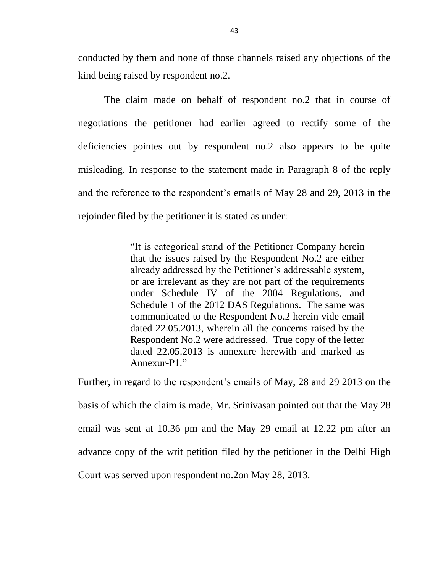conducted by them and none of those channels raised any objections of the kind being raised by respondent no.2.

The claim made on behalf of respondent no.2 that in course of negotiations the petitioner had earlier agreed to rectify some of the deficiencies pointes out by respondent no.2 also appears to be quite misleading. In response to the statement made in Paragraph 8 of the reply and the reference to the respondent's emails of May 28 and 29, 2013 in the rejoinder filed by the petitioner it is stated as under:

> "It is categorical stand of the Petitioner Company herein that the issues raised by the Respondent No.2 are either already addressed by the Petitioner's addressable system, or are irrelevant as they are not part of the requirements under Schedule IV of the 2004 Regulations, and Schedule 1 of the 2012 DAS Regulations. The same was communicated to the Respondent No.2 herein vide email dated 22.05.2013, wherein all the concerns raised by the Respondent No.2 were addressed. True copy of the letter dated 22.05.2013 is annexure herewith and marked as Annexur-P1"

Further, in regard to the respondent's emails of May, 28 and 29 2013 on the basis of which the claim is made, Mr. Srinivasan pointed out that the May 28 email was sent at 10.36 pm and the May 29 email at 12.22 pm after an advance copy of the writ petition filed by the petitioner in the Delhi High Court was served upon respondent no.2on May 28, 2013.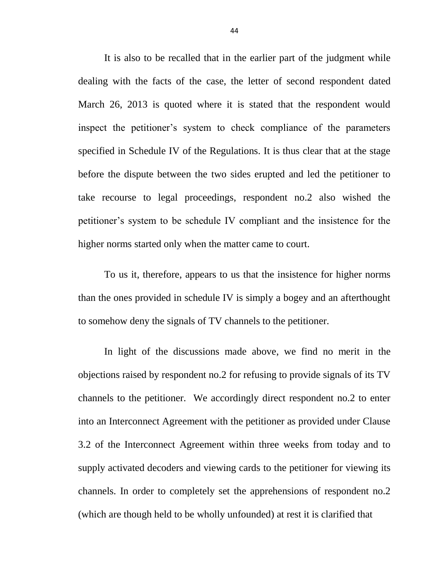It is also to be recalled that in the earlier part of the judgment while dealing with the facts of the case, the letter of second respondent dated March 26, 2013 is quoted where it is stated that the respondent would inspect the petitioner's system to check compliance of the parameters specified in Schedule IV of the Regulations. It is thus clear that at the stage before the dispute between the two sides erupted and led the petitioner to take recourse to legal proceedings, respondent no.2 also wished the petitioner's system to be schedule IV compliant and the insistence for the higher norms started only when the matter came to court.

To us it, therefore, appears to us that the insistence for higher norms than the ones provided in schedule IV is simply a bogey and an afterthought to somehow deny the signals of TV channels to the petitioner.

In light of the discussions made above, we find no merit in the objections raised by respondent no.2 for refusing to provide signals of its TV channels to the petitioner. We accordingly direct respondent no.2 to enter into an Interconnect Agreement with the petitioner as provided under Clause 3.2 of the Interconnect Agreement within three weeks from today and to supply activated decoders and viewing cards to the petitioner for viewing its channels. In order to completely set the apprehensions of respondent no.2 (which are though held to be wholly unfounded) at rest it is clarified that